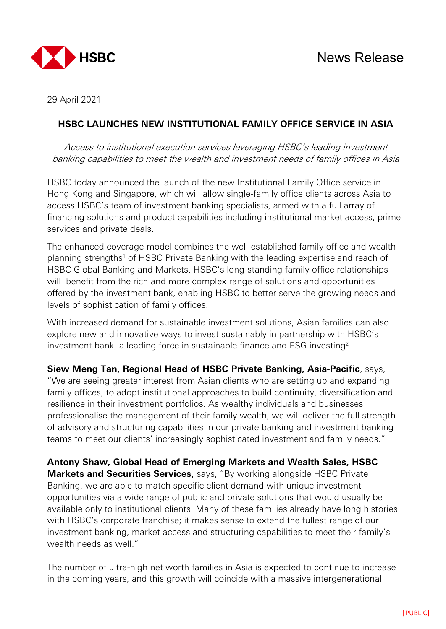



29 April 2021

## **HSBC LAUNCHES NEW INSTITUTIONAL FAMILY OFFICE SERVICE IN ASIA**

Access to institutional execution services leveraging HSBC's leading investment banking capabilities to meet the wealth and investment needs of family offices in Asia

HSBC today announced the launch of the new Institutional Family Office service in Hong Kong and Singapore, which will allow single-family office clients across Asia to access HSBC's team of investment banking specialists, armed with a full array of financing solutions and product capabilities including institutional market access, prime services and private deals.

The enhanced coverage model combines the well-established family office and wealth planning strengths<sup>1</sup> of HSBC Private Banking with the leading expertise and reach of HSBC Global Banking and Markets. HSBC's long-standing family office relationships will benefit from the rich and more complex range of solutions and opportunities offered by the investment bank, enabling HSBC to better serve the growing needs and levels of sophistication of family offices.

With increased demand for sustainable investment solutions, Asian families can also explore new and innovative ways to invest sustainably in partnership with HSBC's investment bank, a leading force in sustainable finance and ESG investing<sup>2</sup>.

**Siew Meng Tan, Regional Head of HSBC Private Banking, Asia-Pacific**, says, "We are seeing greater interest from Asian clients who are setting up and expanding family offices, to adopt institutional approaches to build continuity, diversification and resilience in their investment portfolios. As wealthy individuals and businesses professionalise the management of their family wealth, we will deliver the full strength of advisory and structuring capabilities in our private banking and investment banking teams to meet our clients' increasingly sophisticated investment and family needs."

**Antony Shaw, Global Head of Emerging Markets and Wealth Sales, HSBC Markets and Securities Services,** says, "By working alongside HSBC Private Banking, we are able to match specific client demand with unique investment opportunities via a wide range of public and private solutions that would usually be available only to institutional clients. Many of these families already have long histories with HSBC's corporate franchise; it makes sense to extend the fullest range of our investment banking, market access and structuring capabilities to meet their family's wealth needs as well."

The number of ultra-high net worth families in Asia is expected to continue to increase in the coming years, and this growth will coincide with a massive intergenerational